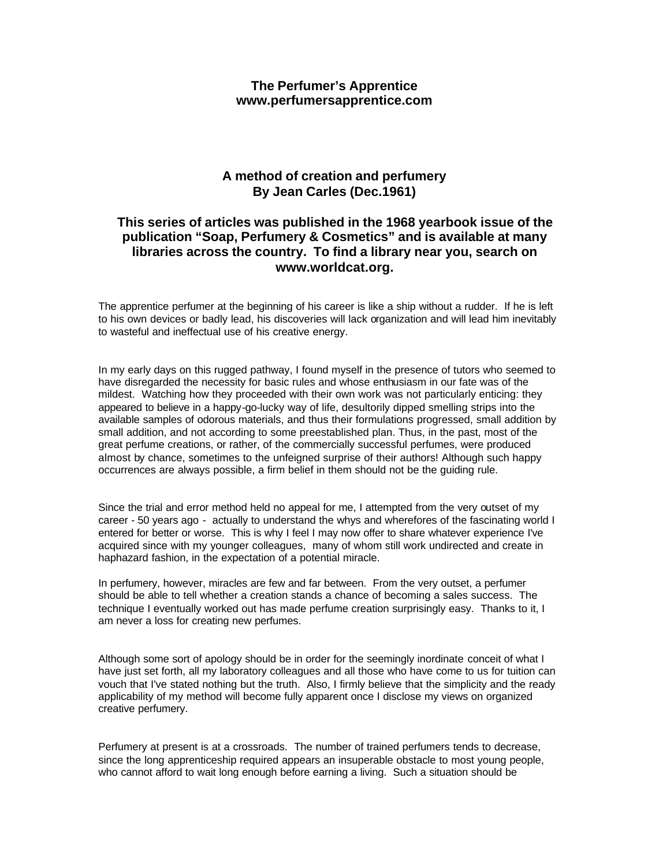# **The Perfumer's Apprentice www.perfumersapprentice.com**

# **A method of creation and perfumery By Jean Carles (Dec.1961)**

# **This series of articles was published in the 1968 yearbook issue of the publication "Soap, Perfumery & Cosmetics" and is available at many libraries across the country. To find a library near you, search on www.worldcat.org.**

The apprentice perfumer at the beginning of his career is like a ship without a rudder. If he is left to his own devices or badly lead, his discoveries will lack organization and will lead him inevitably to wasteful and ineffectual use of his creative energy.

In my early days on this rugged pathway, I found myself in the presence of tutors who seemed to have disregarded the necessity for basic rules and whose enthusiasm in our fate was of the mildest. Watching how they proceeded with their own work was not particularly enticing: they appeared to believe in a happy-go-lucky way of life, desultorily dipped smelling strips into the available samples of odorous materials, and thus their formulations progressed, small addition by small addition, and not according to some preestablished plan. Thus, in the past, most of the great perfume creations, or rather, of the commercially successful perfumes, were produced almost by chance, sometimes to the unfeigned surprise of their authors! Although such happy occurrences are always possible, a firm belief in them should not be the guiding rule.

Since the trial and error method held no appeal for me, I attempted from the very outset of my career - 50 years ago - actually to understand the whys and wherefores of the fascinating world I entered for better or worse. This is why I feel I may now offer to share whatever experience I've acquired since with my younger colleagues, many of whom still work undirected and create in haphazard fashion, in the expectation of a potential miracle.

In perfumery, however, miracles are few and far between. From the very outset, a perfumer should be able to tell whether a creation stands a chance of becoming a sales success. The technique I eventually worked out has made perfume creation surprisingly easy. Thanks to it, I am never a loss for creating new perfumes.

Although some sort of apology should be in order for the seemingly inordinate conceit of what I have just set forth, all my laboratory colleagues and all those who have come to us for tuition can vouch that I've stated nothing but the truth. Also, I firmly believe that the simplicity and the ready applicability of my method will become fully apparent once I disclose my views on organized creative perfumery.

Perfumery at present is at a crossroads. The number of trained perfumers tends to decrease, since the long apprenticeship required appears an insuperable obstacle to most young people, who cannot afford to wait long enough before earning a living. Such a situation should be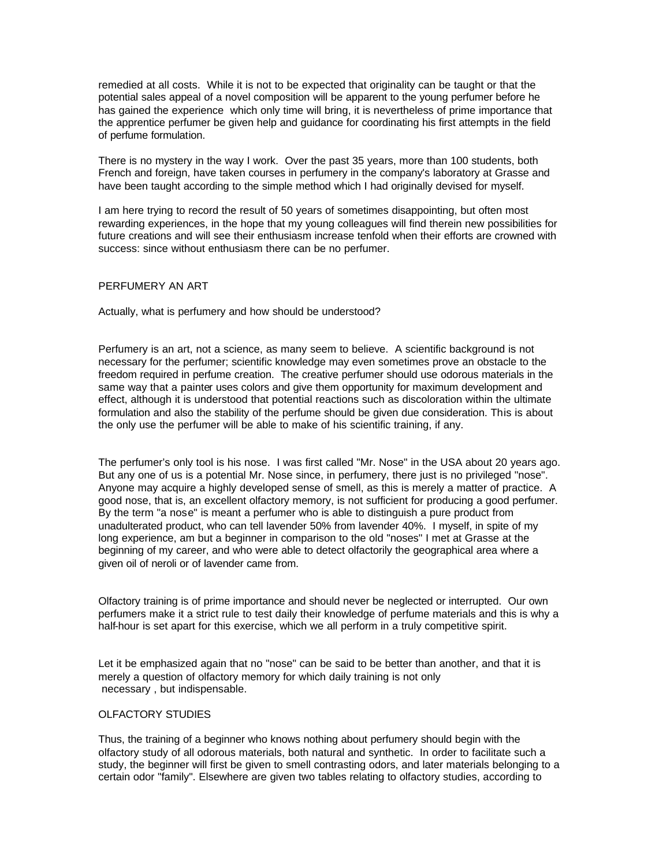remedied at all costs. While it is not to be expected that originality can be taught or that the potential sales appeal of a novel composition will be apparent to the young perfumer before he has gained the experience which only time will bring, it is nevertheless of prime importance that the apprentice perfumer be given help and guidance for coordinating his first attempts in the field of perfume formulation.

There is no mystery in the way I work. Over the past 35 years, more than 100 students, both French and foreign, have taken courses in perfumery in the company's laboratory at Grasse and have been taught according to the simple method which I had originally devised for myself.

I am here trying to record the result of 50 years of sometimes disappointing, but often most rewarding experiences, in the hope that my young colleagues will find therein new possibilities for future creations and will see their enthusiasm increase tenfold when their efforts are crowned with success: since without enthusiasm there can be no perfumer.

## PERFUMERY AN ART

Actually, what is perfumery and how should be understood?

Perfumery is an art, not a science, as many seem to believe. A scientific background is not necessary for the perfumer; scientific knowledge may even sometimes prove an obstacle to the freedom required in perfume creation. The creative perfumer should use odorous materials in the same way that a painter uses colors and give them opportunity for maximum development and effect, although it is understood that potential reactions such as discoloration within the ultimate formulation and also the stability of the perfume should be given due consideration. This is about the only use the perfumer will be able to make of his scientific training, if any.

The perfumer's only tool is his nose. I was first called "Mr. Nose" in the USA about 20 years ago. But any one of us is a potential Mr. Nose since, in perfumery, there just is no privileged "nose". Anyone may acquire a highly developed sense of smell, as this is merely a matter of practice. A good nose, that is, an excellent olfactory memory, is not sufficient for producing a good perfumer. By the term "a nose" is meant a perfumer who is able to distinguish a pure product from unadulterated product, who can tell lavender 50% from lavender 40%. I myself, in spite of my long experience, am but a beginner in comparison to the old "noses" I met at Grasse at the beginning of my career, and who were able to detect olfactorily the geographical area where a given oil of neroli or of lavender came from.

Olfactory training is of prime importance and should never be neglected or interrupted. Our own perfumers make it a strict rule to test daily their knowledge of perfume materials and this is why a half-hour is set apart for this exercise, which we all perform in a truly competitive spirit.

Let it be emphasized again that no "nose" can be said to be better than another, and that it is merely a question of olfactory memory for which daily training is not only necessary , but indispensable.

### OLFACTORY STUDIES

Thus, the training of a beginner who knows nothing about perfumery should begin with the olfactory study of all odorous materials, both natural and synthetic. In order to facilitate such a study, the beginner will first be given to smell contrasting odors, and later materials belonging to a certain odor "family". Elsewhere are given two tables relating to olfactory studies, according to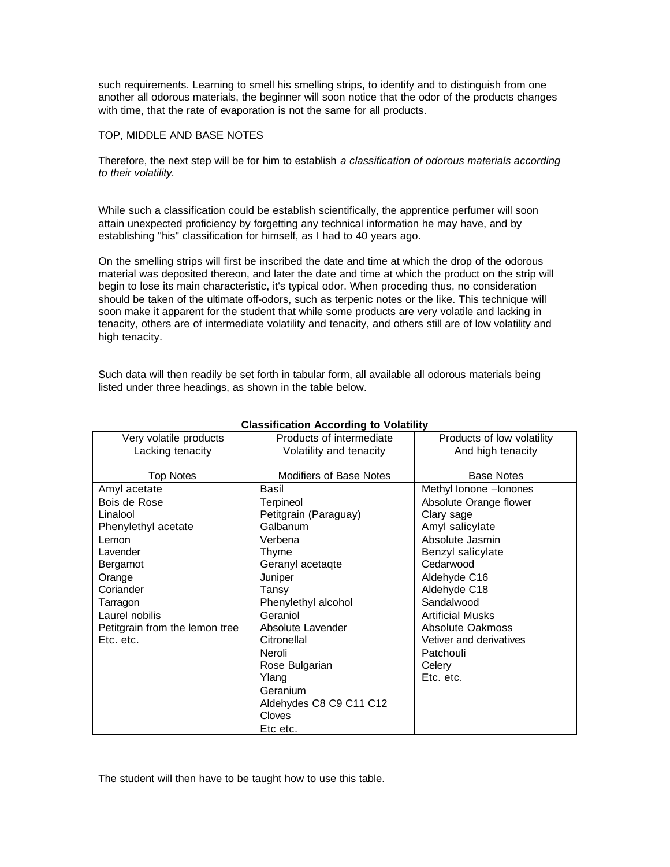such requirements. Learning to smell his smelling strips, to identify and to distinguish from one another all odorous materials, the beginner will soon notice that the odor of the products changes with time, that the rate of evaporation is not the same for all products.

### TOP, MIDDLE AND BASE NOTES

Therefore, the next step will be for him to establish *a classification of odorous materials according to their volatility.*

While such a classification could be establish scientifically, the apprentice perfumer will soon attain unexpected proficiency by forgetting any technical information he may have, and by establishing "his" classification for himself, as I had to 40 years ago.

On the smelling strips will first be inscribed the date and time at which the drop of the odorous material was deposited thereon, and later the date and time at which the product on the strip will begin to lose its main characteristic, it's typical odor. When proceding thus, no consideration should be taken of the ultimate off-odors, such as terpenic notes or the like. This technique will soon make it apparent for the student that while some products are very volatile and lacking in tenacity, others are of intermediate volatility and tenacity, and others still are of low volatility and high tenacity.

Such data will then readily be set forth in tabular form, all available all odorous materials being listed under three headings, as shown in the table below.

| Very volatile products         | Products of intermediate       | Products of low volatility |
|--------------------------------|--------------------------------|----------------------------|
| Lacking tenacity               | Volatility and tenacity        | And high tenacity          |
|                                |                                |                            |
| <b>Top Notes</b>               | <b>Modifiers of Base Notes</b> | <b>Base Notes</b>          |
| Amyl acetate                   | Basil                          | Methyl lonone - lonones    |
| Bois de Rose                   | Terpineol                      | Absolute Orange flower     |
| Linalool                       | Petitgrain (Paraguay)          | Clary sage                 |
| Phenylethyl acetate            | Galbanum                       | Amyl salicylate            |
| Lemon                          | Verbena                        | Absolute Jasmin            |
| Lavender                       | Thyme                          | Benzyl salicylate          |
| Bergamot                       | Geranyl acetagte               | Cedarwood                  |
| Orange                         | Juniper                        | Aldehyde C16               |
| Coriander                      | Tansy                          | Aldehyde C18               |
| Tarragon                       | Phenylethyl alcohol            | Sandalwood                 |
| Laurel nobilis                 | Geraniol                       | <b>Artificial Musks</b>    |
| Petitgrain from the lemon tree | Absolute Lavender              | Absolute Oakmoss           |
| Etc. etc.                      | Citronellal                    | Vetiver and derivatives    |
|                                | Neroli                         | Patchouli                  |
|                                | Rose Bulgarian                 | Celery                     |
|                                | Ylang                          | Etc. etc.                  |
|                                | Geranium                       |                            |
|                                | Aldehydes C8 C9 C11 C12        |                            |
|                                | Cloves                         |                            |
|                                | Etc etc.                       |                            |

# **Classification According to Volatility**

The student will then have to be taught how to use this table.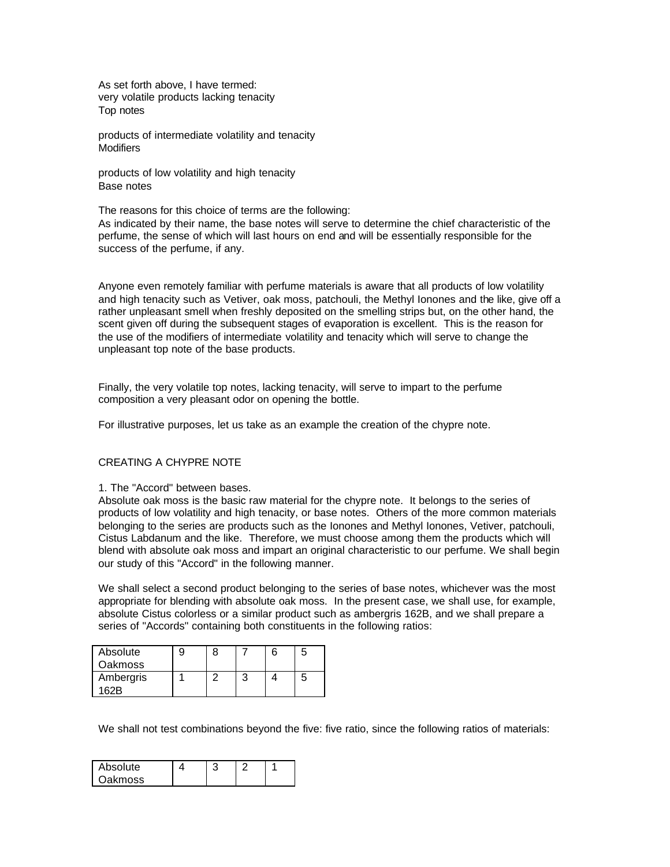As set forth above, I have termed: very volatile products lacking tenacity Top notes

products of intermediate volatility and tenacity **Modifiers** 

products of low volatility and high tenacity Base notes

The reasons for this choice of terms are the following:

As indicated by their name, the base notes will serve to determine the chief characteristic of the perfume, the sense of which will last hours on end and will be essentially responsible for the success of the perfume, if any.

Anyone even remotely familiar with perfume materials is aware that all products of low volatility and high tenacity such as Vetiver, oak moss, patchouli, the Methyl Ionones and the like, give off a rather unpleasant smell when freshly deposited on the smelling strips but, on the other hand, the scent given off during the subsequent stages of evaporation is excellent. This is the reason for the use of the modifiers of intermediate volatility and tenacity which will serve to change the unpleasant top note of the base products.

Finally, the very volatile top notes, lacking tenacity, will serve to impart to the perfume composition a very pleasant odor on opening the bottle.

For illustrative purposes, let us take as an example the creation of the chypre note.

# CREATING A CHYPRE NOTE

1. The "Accord" between bases.

Absolute oak moss is the basic raw material for the chypre note. It belongs to the series of products of low volatility and high tenacity, or base notes. Others of the more common materials belonging to the series are products such as the Ionones and Methyl Ionones, Vetiver, patchouli, Cistus Labdanum and the like. Therefore, we must choose among them the products which will blend with absolute oak moss and impart an original characteristic to our perfume. We shall begin our study of this "Accord" in the following manner.

We shall select a second product belonging to the series of base notes, whichever was the most appropriate for blending with absolute oak moss. In the present case, we shall use, for example, absolute Cistus colorless or a similar product such as ambergris 162B, and we shall prepare a series of "Accords" containing both constituents in the following ratios:

| Absolute<br><b>Oakmoss</b> |  |  |  |
|----------------------------|--|--|--|
| Ambergris                  |  |  |  |

We shall not test combinations beyond the five: five ratio, since the following ratios of materials:

| Absolute |  |  |
|----------|--|--|
| Oakmoss  |  |  |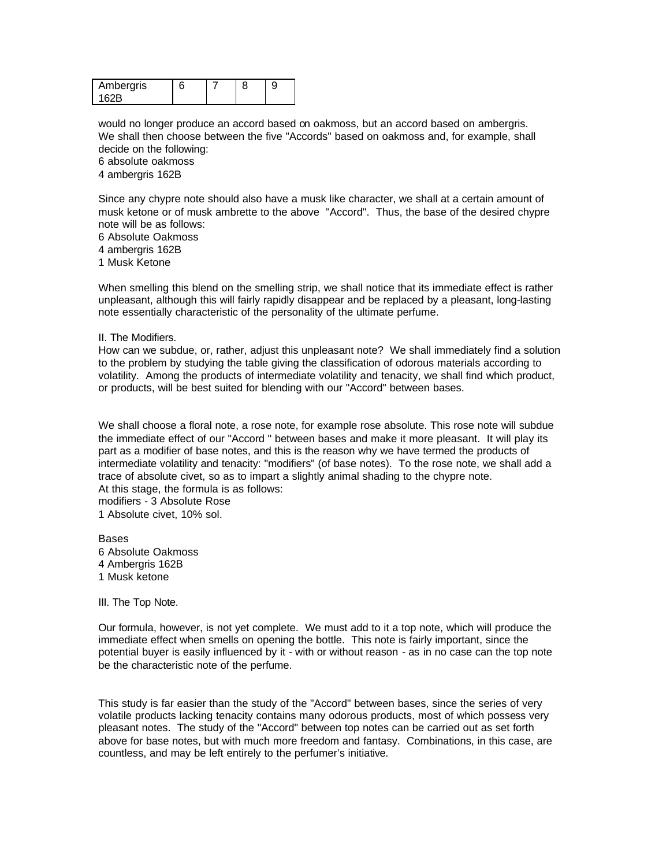| Ambergris |  |  |
|-----------|--|--|
| .         |  |  |

would no longer produce an accord based on oakmoss, but an accord based on ambergris. We shall then choose between the five "Accords" based on oakmoss and, for example, shall decide on the following:

6 absolute oakmoss

4 ambergris 162B

Since any chypre note should also have a musk like character, we shall at a certain amount of musk ketone or of musk ambrette to the above "Accord". Thus, the base of the desired chypre note will be as follows:

6 Absolute Oakmoss

4 ambergris 162B

1 Musk Ketone

When smelling this blend on the smelling strip, we shall notice that its immediate effect is rather unpleasant, although this will fairly rapidly disappear and be replaced by a pleasant, long-lasting note essentially characteristic of the personality of the ultimate perfume.

II. The Modifiers.

How can we subdue, or, rather, adjust this unpleasant note? We shall immediately find a solution to the problem by studying the table giving the classification of odorous materials according to volatility. Among the products of intermediate volatility and tenacity, we shall find which product, or products, will be best suited for blending with our "Accord" between bases.

We shall choose a floral note, a rose note, for example rose absolute. This rose note will subdue the immediate effect of our "Accord " between bases and make it more pleasant. It will play its part as a modifier of base notes, and this is the reason why we have termed the products of intermediate volatility and tenacity: "modifiers" (of base notes). To the rose note, we shall add a trace of absolute civet, so as to impart a slightly animal shading to the chypre note. At this stage, the formula is as follows: modifiers - 3 Absolute Rose 1 Absolute civet, 10% sol.

**Bases** 6 Absolute Oakmoss 4 Ambergris 162B 1 Musk ketone

III. The Top Note.

Our formula, however, is not yet complete. We must add to it a top note, which will produce the immediate effect when smells on opening the bottle. This note is fairly important, since the potential buyer is easily influenced by it - with or without reason - as in no case can the top note be the characteristic note of the perfume.

This study is far easier than the study of the "Accord" between bases, since the series of very volatile products lacking tenacity contains many odorous products, most of which possess very pleasant notes. The study of the "Accord" between top notes can be carried out as set forth above for base notes, but with much more freedom and fantasy. Combinations, in this case, are countless, and may be left entirely to the perfumer's initiative.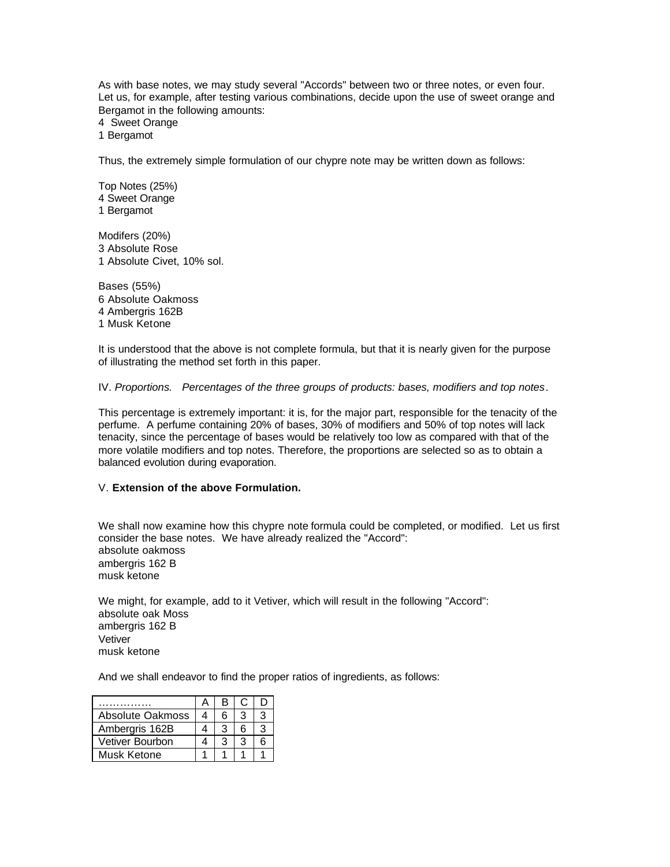As with base notes, we may study several "Accords" between two or three notes, or even four. Let us, for example, after testing various combinations, decide upon the use of sweet orange and Bergamot in the following amounts:

4 Sweet Orange

1 Bergamot

Thus, the extremely simple formulation of our chypre note may be written down as follows:

Top Notes (25%) 4 Sweet Orange 1 Bergamot

Modifers (20%) 3 Absolute Rose 1 Absolute Civet, 10% sol.

Bases (55%) 6 Absolute Oakmoss 4 Ambergris 162B 1 Musk Ketone

It is understood that the above is not complete formula, but that it is nearly given for the purpose of illustrating the method set forth in this paper.

IV. *Proportions. Percentages of the three groups of products: bases, modifiers and top notes*.

This percentage is extremely important: it is, for the major part, responsible for the tenacity of the perfume. A perfume containing 20% of bases, 30% of modifiers and 50% of top notes will lack tenacity, since the percentage of bases would be relatively too low as compared with that of the more volatile modifiers and top notes. Therefore, the proportions are selected so as to obtain a balanced evolution during evaporation.

# V. **Extension of the above Formulation.**

We shall now examine how this chypre note formula could be completed, or modified. Let us first consider the base notes. We have already realized the "Accord": absolute oakmoss ambergris 162 B musk ketone

We might, for example, add to it Vetiver, which will result in the following "Accord": absolute oak Moss ambergris 162 B Vetiver musk ketone

And we shall endeavor to find the proper ratios of ingredients, as follows:

|                  | в |    |    |
|------------------|---|----|----|
| Absolute Oakmoss | 6 |    |    |
| Ambergris 162B   | 3 | ิค | ړ. |
| Vetiver Bourbon  | 3 |    | ิก |
| Musk Ketone      |   |    |    |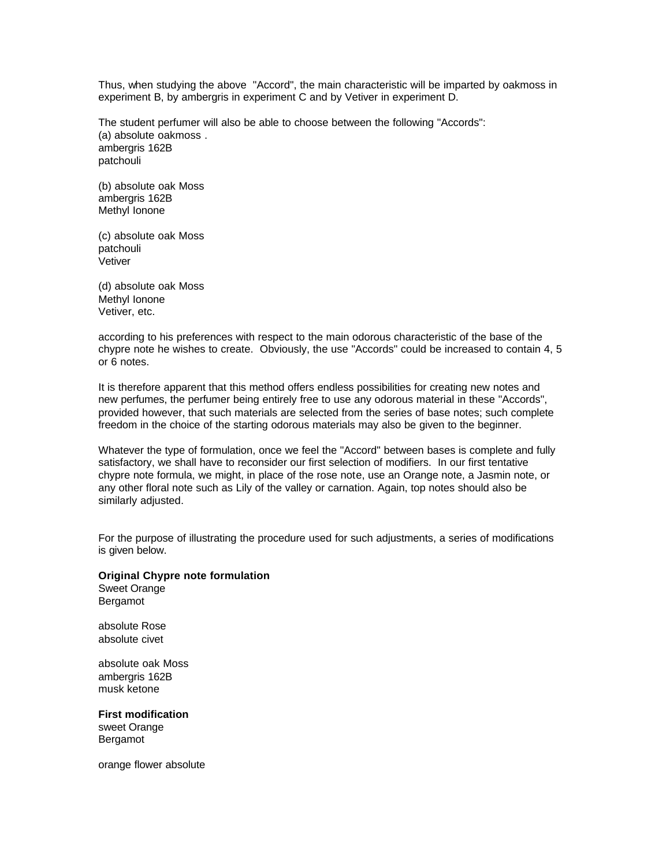Thus, when studying the above "Accord", the main characteristic will be imparted by oakmoss in experiment B, by ambergris in experiment C and by Vetiver in experiment D.

The student perfumer will also be able to choose between the following "Accords": (a) absolute oakmoss . ambergris 162B patchouli

(b) absolute oak Moss ambergris 162B Methyl Ionone

(c) absolute oak Moss patchouli Vetiver

(d) absolute oak Moss Methyl Ionone Vetiver, etc.

according to his preferences with respect to the main odorous characteristic of the base of the chypre note he wishes to create. Obviously, the use "Accords" could be increased to contain 4, 5 or 6 notes.

It is therefore apparent that this method offers endless possibilities for creating new notes and new perfumes, the perfumer being entirely free to use any odorous material in these "Accords", provided however, that such materials are selected from the series of base notes; such complete freedom in the choice of the starting odorous materials may also be given to the beginner.

Whatever the type of formulation, once we feel the "Accord" between bases is complete and fully satisfactory, we shall have to reconsider our first selection of modifiers. In our first tentative chypre note formula, we might, in place of the rose note, use an Orange note, a Jasmin note, or any other floral note such as Lily of the valley or carnation. Again, top notes should also be similarly adjusted.

For the purpose of illustrating the procedure used for such adjustments, a series of modifications is given below.

#### **Original Chypre note formulation** Sweet Orange

Bergamot

absolute Rose absolute civet

absolute oak Moss ambergris 162B musk ketone

**First modification** sweet Orange Bergamot

orange flower absolute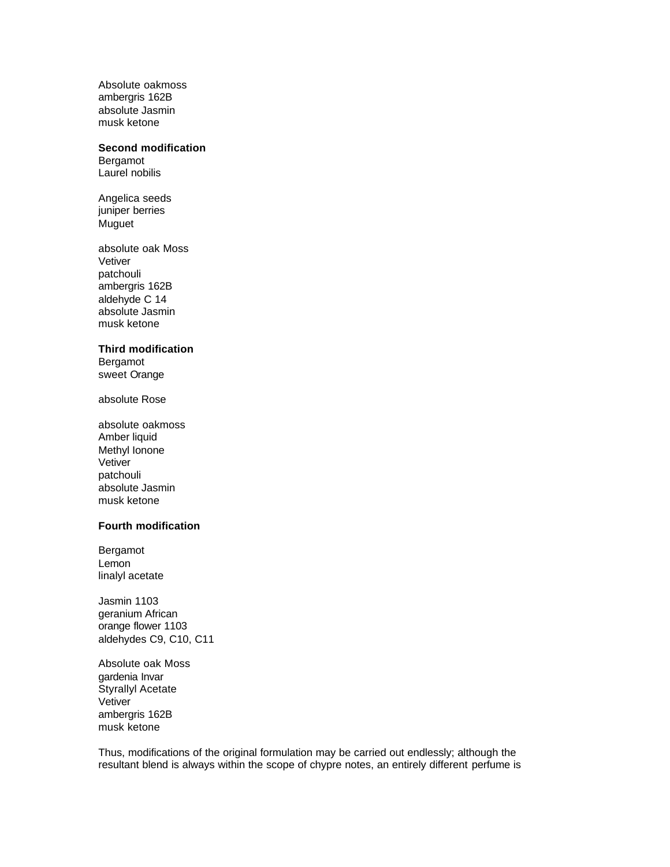Absolute oakmoss ambergris 162B absolute Jasmin musk ketone

#### **Second modification**

Bergamot Laurel nobilis

Angelica seeds juniper berries Muguet

absolute oak Moss Vetiver patchouli ambergris 162B aldehyde C 14 absolute Jasmin musk ketone

### **Third modification**

Bergamot sweet Orange

absolute Rose

absolute oakmoss Amber liquid Methyl Ionone Vetiver patchouli absolute Jasmin musk ketone

## **Fourth modification**

Bergamot Lemon linalyl acetate

Jasmin 1103 geranium African orange flower 1103 aldehydes C9, C10, C11

Absolute oak Moss gardenia Invar Styrallyl Acetate **Vetiver** ambergris 162B musk ketone

Thus, modifications of the original formulation may be carried out endlessly; although the resultant blend is always within the scope of chypre notes, an entirely different perfume is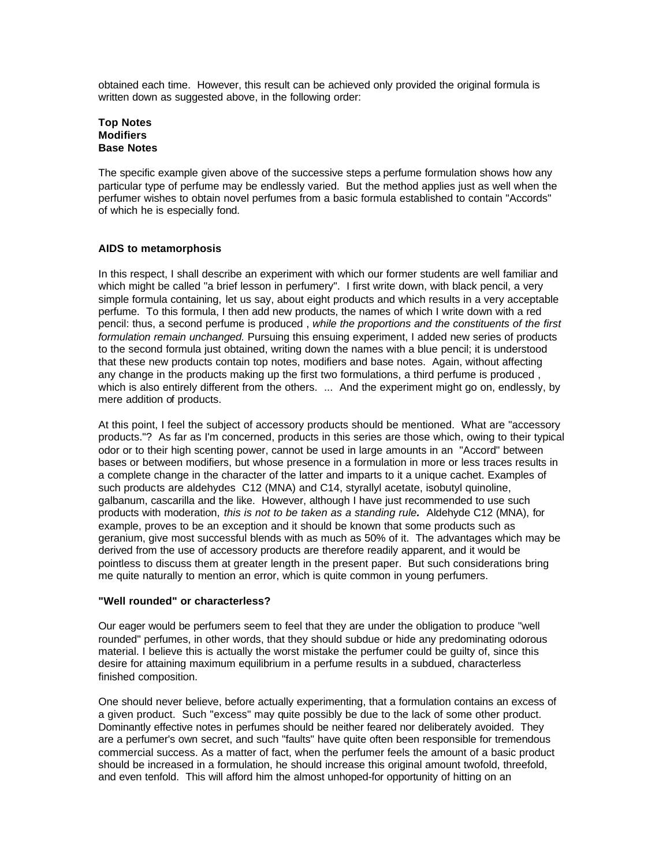obtained each time. However, this result can be achieved only provided the original formula is written down as suggested above, in the following order:

### **Top Notes Modifiers Base Notes**

The specific example given above of the successive steps a perfume formulation shows how any particular type of perfume may be endlessly varied. But the method applies just as well when the perfumer wishes to obtain novel perfumes from a basic formula established to contain "Accords" of which he is especially fond.

# **AIDS to metamorphosis**

In this respect, I shall describe an experiment with which our former students are well familiar and which might be called "a brief lesson in perfumery". I first write down, with black pencil, a very simple formula containing, let us say, about eight products and which results in a very acceptable perfume. To this formula, I then add new products, the names of which I write down with a red pencil: thus, a second perfume is produced , *while the proportions and the constituents of the first formulation remain unchanged.* Pursuing this ensuing experiment, I added new series of products to the second formula just obtained, writing down the names with a blue pencil; it is understood that these new products contain top notes, modifiers and base notes. Again, without affecting any change in the products making up the first two formulations, a third perfume is produced , which is also entirely different from the others. ... And the experiment might go on, endlessly, by mere addition of products.

At this point, I feel the subject of accessory products should be mentioned. What are "accessory products."? As far as I'm concerned, products in this series are those which, owing to their typical odor or to their high scenting power, cannot be used in large amounts in an "Accord" between bases or between modifiers, but whose presence in a formulation in more or less traces results in a complete change in the character of the latter and imparts to it a unique cachet. Examples of such products are aldehydes C12 (MNA) and C14, styrallyl acetate, isobutyl quinoline, galbanum, cascarilla and the like. However, although I have just recommended to use such products with moderation, *this is not to be taken as a standing rule.* Aldehyde C12 (MNA), for example, proves to be an exception and it should be known that some products such as geranium, give most successful blends with as much as 50% of it. The advantages which may be derived from the use of accessory products are therefore readily apparent, and it would be pointless to discuss them at greater length in the present paper. But such considerations bring me quite naturally to mention an error, which is quite common in young perfumers.

# **"Well rounded" or characterless?**

Our eager would be perfumers seem to feel that they are under the obligation to produce "well rounded" perfumes, in other words, that they should subdue or hide any predominating odorous material. I believe this is actually the worst mistake the perfumer could be guilty of, since this desire for attaining maximum equilibrium in a perfume results in a subdued, characterless finished composition.

One should never believe, before actually experimenting, that a formulation contains an excess of a given product. Such "excess" may quite possibly be due to the lack of some other product. Dominantly effective notes in perfumes should be neither feared nor deliberately avoided. They are a perfumer's own secret, and such "faults" have quite often been responsible for tremendous commercial success. As a matter of fact, when the perfumer feels the amount of a basic product should be increased in a formulation, he should increase this original amount twofold, threefold, and even tenfold. This will afford him the almost unhoped-for opportunity of hitting on an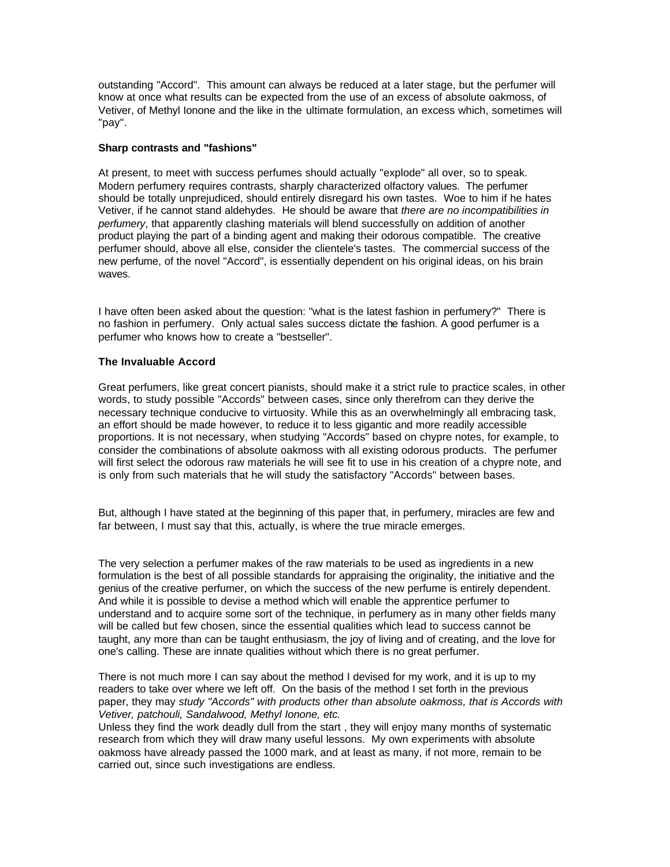outstanding "Accord". This amount can always be reduced at a later stage, but the perfumer will know at once what results can be expected from the use of an excess of absolute oakmoss, of Vetiver, of Methyl Ionone and the like in the ultimate formulation, an excess which, sometimes will "pay".

### **Sharp contrasts and "fashions"**

At present, to meet with success perfumes should actually "explode" all over, so to speak. Modern perfumery requires contrasts, sharply characterized olfactory values. The perfumer should be totally unprejudiced, should entirely disregard his own tastes. Woe to him if he hates Vetiver, if he cannot stand aldehydes. He should be aware that *there are no incompatibilities in perfumery*, that apparently clashing materials will blend successfully on addition of another product playing the part of a binding agent and making their odorous compatible. The creative perfumer should, above all else, consider the clientele's tastes. The commercial success of the new perfume, of the novel "Accord", is essentially dependent on his original ideas, on his brain waves.

I have often been asked about the question: "what is the latest fashion in perfumery?" There is no fashion in perfumery. Only actual sales success dictate the fashion. A good perfumer is a perfumer who knows how to create a "bestseller".

# **The Invaluable Accord**

Great perfumers, like great concert pianists, should make it a strict rule to practice scales, in other words, to study possible "Accords" between cases, since only therefrom can they derive the necessary technique conducive to virtuosity. While this as an overwhelmingly all embracing task, an effort should be made however, to reduce it to less gigantic and more readily accessible proportions. It is not necessary, when studying "Accords" based on chypre notes, for example, to consider the combinations of absolute oakmoss with all existing odorous products. The perfumer will first select the odorous raw materials he will see fit to use in his creation of a chypre note, and is only from such materials that he will study the satisfactory "Accords" between bases.

But, although I have stated at the beginning of this paper that, in perfumery, miracles are few and far between, I must say that this, actually, is where the true miracle emerges.

The very selection a perfumer makes of the raw materials to be used as ingredients in a new formulation is the best of all possible standards for appraising the originality, the initiative and the genius of the creative perfumer, on which the success of the new perfume is entirely dependent. And while it is possible to devise a method which will enable the apprentice perfumer to understand and to acquire some sort of the technique, in perfumery as in many other fields many will be called but few chosen, since the essential qualities which lead to success cannot be taught, any more than can be taught enthusiasm, the joy of living and of creating, and the love for one's calling. These are innate qualities without which there is no great perfumer.

There is not much more I can say about the method I devised for my work, and it is up to my readers to take over where we left off. On the basis of the method I set forth in the previous paper, they may *study "Accords" with products other than absolute oakmoss, that is Accords with Vetiver, patchouli, Sandalwood, Methyl Ionone, etc.*

Unless they find the work deadly dull from the start , they will enjoy many months of systematic research from which they will draw many useful lessons. My own experiments with absolute oakmoss have already passed the 1000 mark, and at least as many, if not more, remain to be carried out, since such investigations are endless.